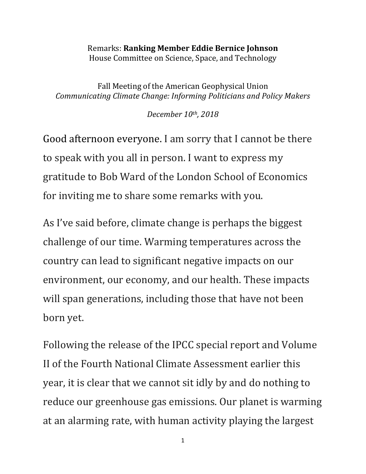## Remarks: **Ranking Member Eddie Bernice Johnson** House Committee on Science, Space, and Technology

Fall Meeting of the American Geophysical Union *Communicating Climate Change: Informing Politicians and Policy Makers*

*December 10th, 2018*

Good afternoon everyone. I am sorry that I cannot be there to speak with you all in person. I want to express my gratitude to Bob Ward of the London School of Economics for inviting me to share some remarks with you.

As I've said before, climate change is perhaps the biggest challenge of our time. Warming temperatures across the country can lead to significant negative impacts on our environment, our economy, and our health. These impacts will span generations, including those that have not been born yet.

Following the release of the IPCC special report and Volume II of the Fourth National Climate Assessment earlier this year, it is clear that we cannot sit idly by and do nothing to reduce our greenhouse gas emissions. Our planet is warming at an alarming rate, with human activity playing the largest

1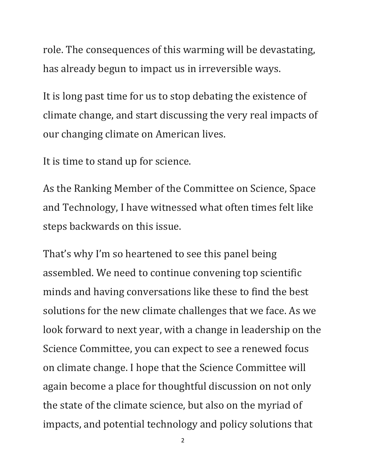role. The consequences of this warming will be devastating, has already begun to impact us in irreversible ways.

It is long past time for us to stop debating the existence of climate change, and start discussing the very real impacts of our changing climate on American lives.

It is time to stand up for science.

As the Ranking Member of the Committee on Science, Space and Technology, I have witnessed what often times felt like steps backwards on this issue.

That's why I'm so heartened to see this panel being assembled. We need to continue convening top scientific minds and having conversations like these to find the best solutions for the new climate challenges that we face. As we look forward to next year, with a change in leadership on the Science Committee, you can expect to see a renewed focus on climate change. I hope that the Science Committee will again become a place for thoughtful discussion on not only the state of the climate science, but also on the myriad of impacts, and potential technology and policy solutions that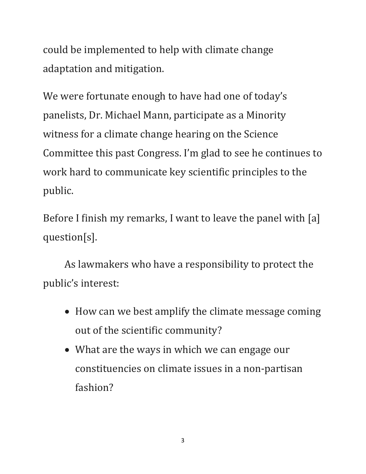could be implemented to help with climate change adaptation and mitigation.

We were fortunate enough to have had one of today's panelists, Dr. Michael Mann, participate as a Minority witness for a climate change hearing on the Science Committee this past Congress. I'm glad to see he continues to work hard to communicate key scientific principles to the public.

Before I finish my remarks, I want to leave the panel with [a] question[s].

As lawmakers who have a responsibility to protect the public's interest:

- How can we best amplify the climate message coming out of the scientific community?
- What are the ways in which we can engage our constituencies on climate issues in a non-partisan fashion?